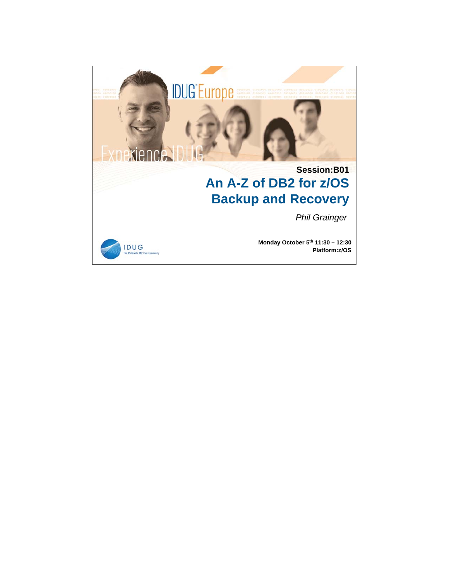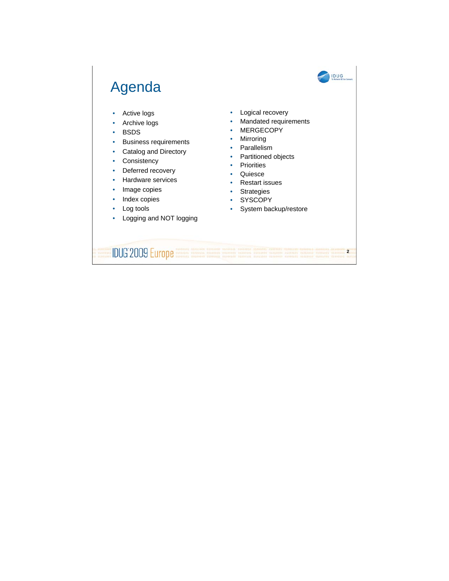## IDUG Agenda • Logical recovery • Active logs • Mandated requirements • Archive logs • MERGECOPY • BSDS • Mirroring • Business requirements • Parallelism • Catalog and Directory • Partitioned objects • Consistency • Priorities • Deferred recovery • Quiesce • Hardware services • Restart issues • Image copies • Strategies • Index copies • SYSCOPY Log tools • System backup/restore

• Logging and NOT logging

**IDUG**'2009 Europe **2**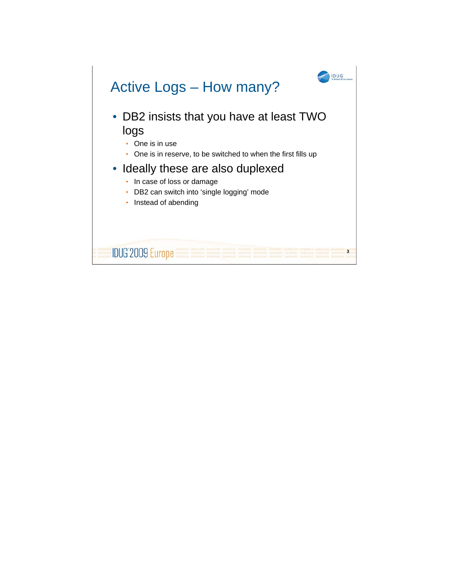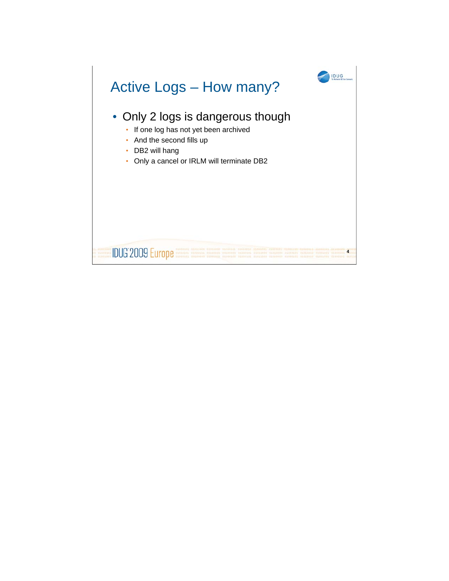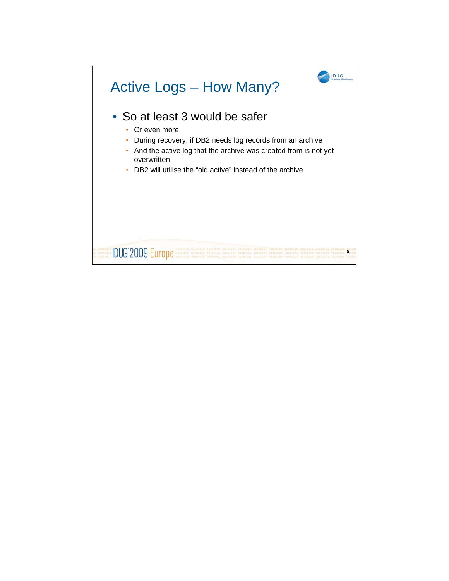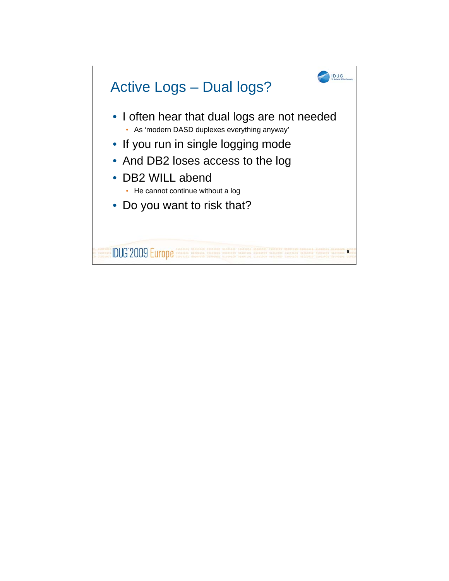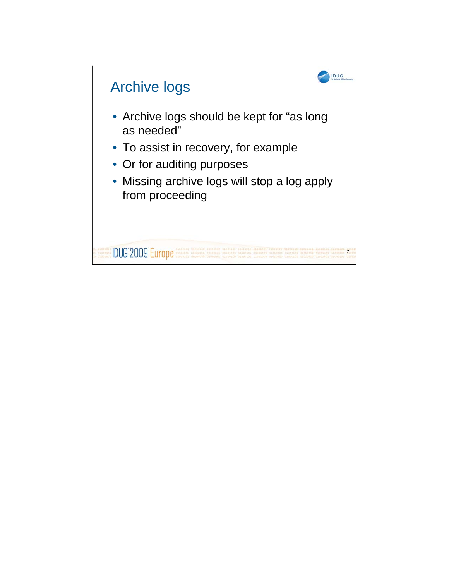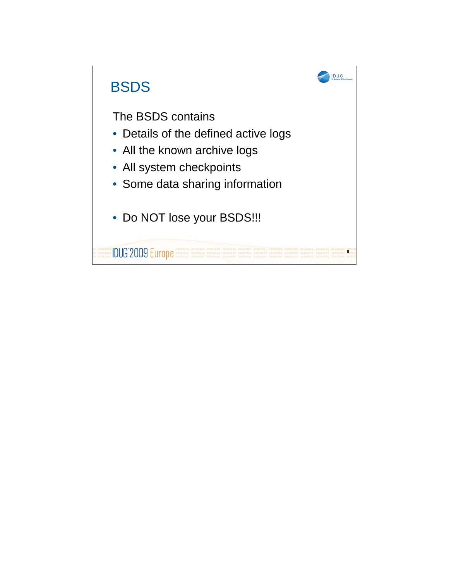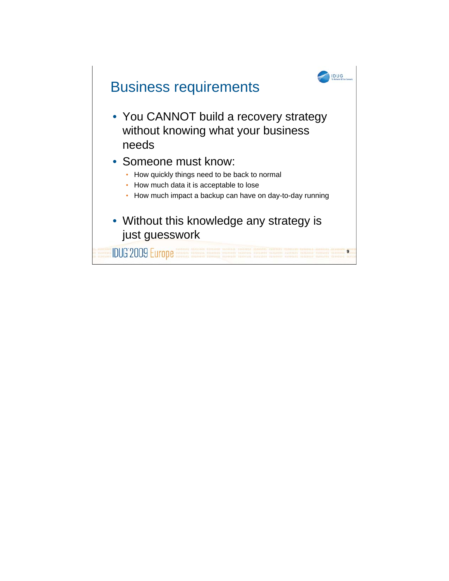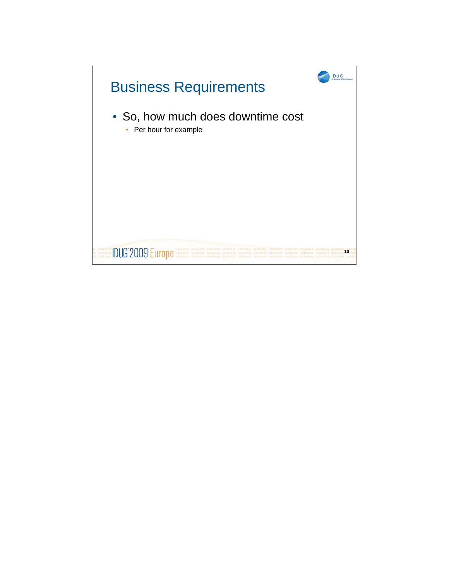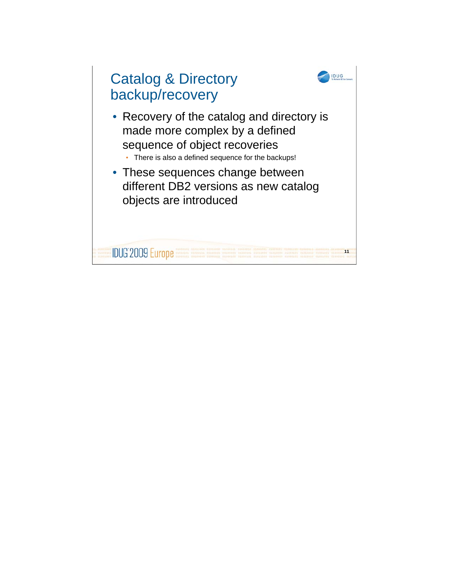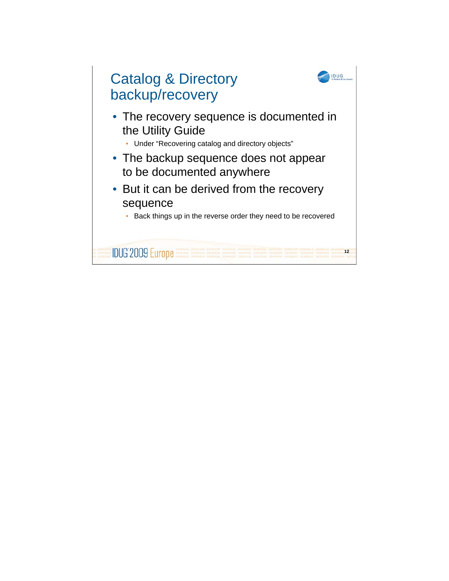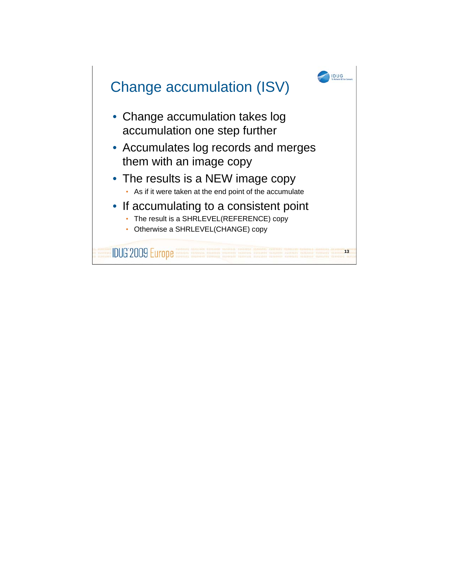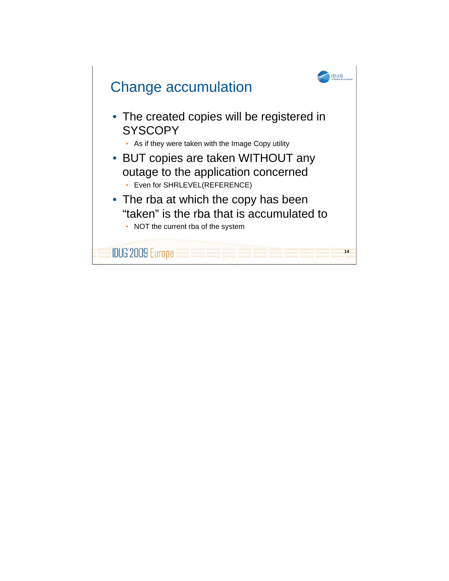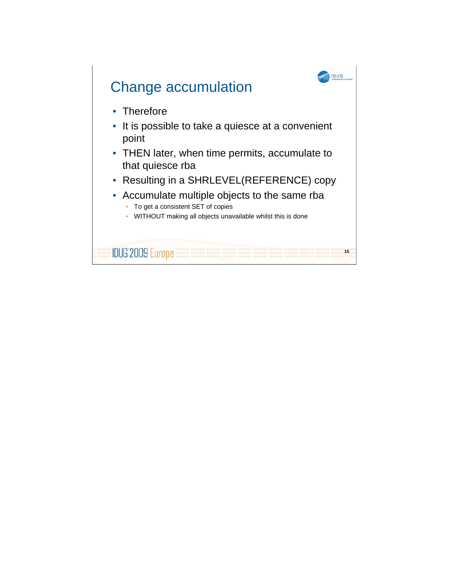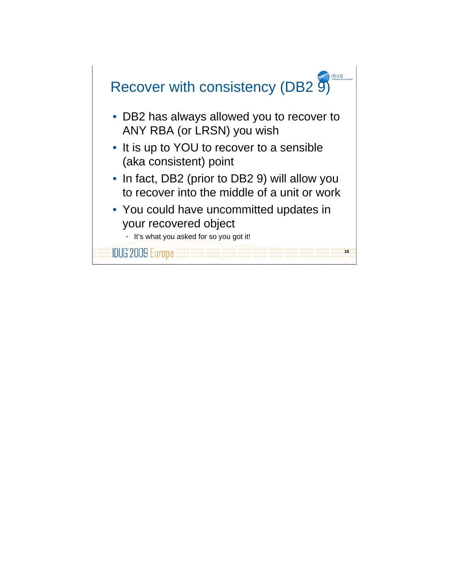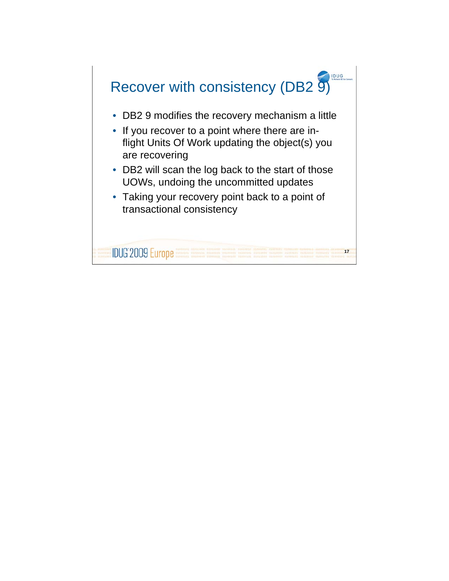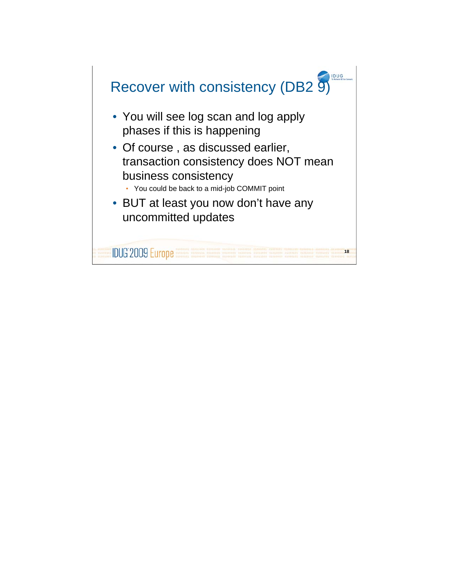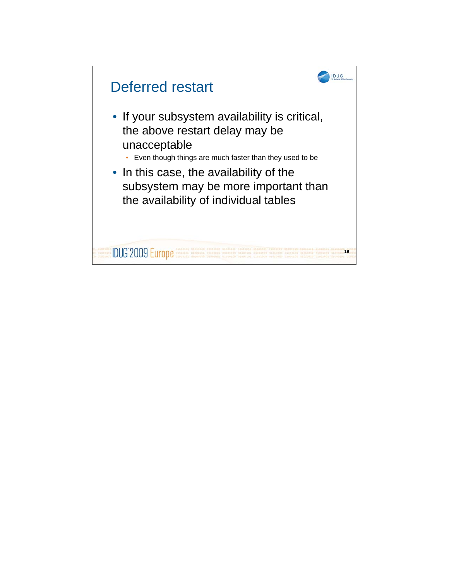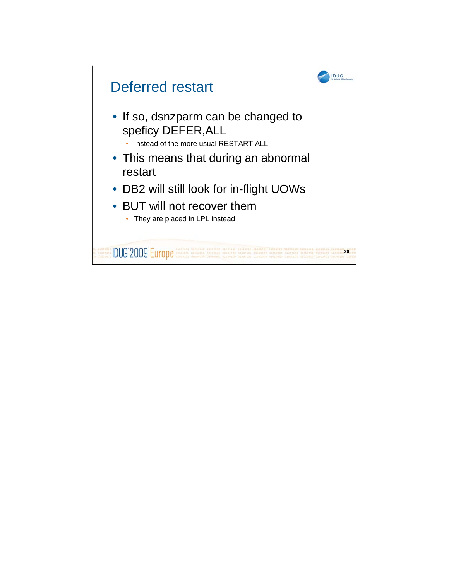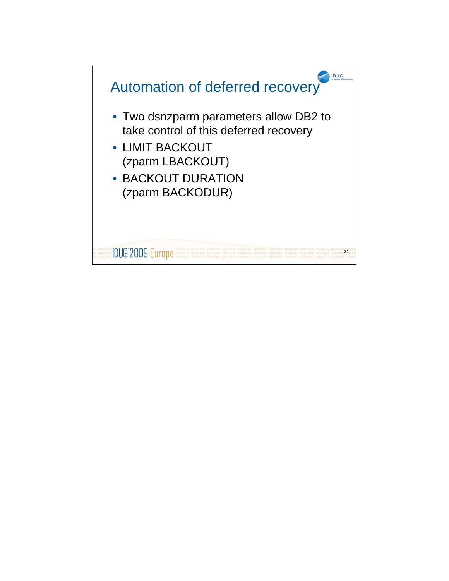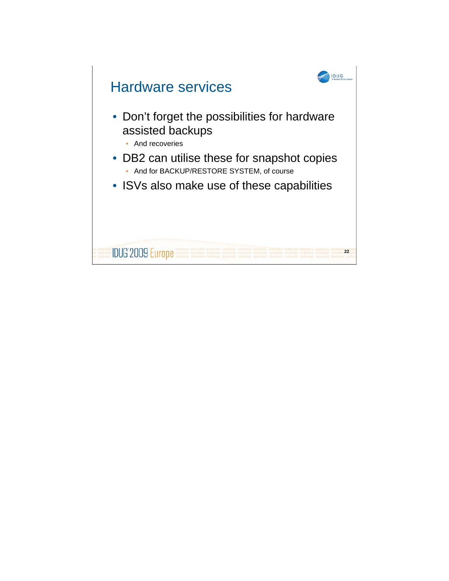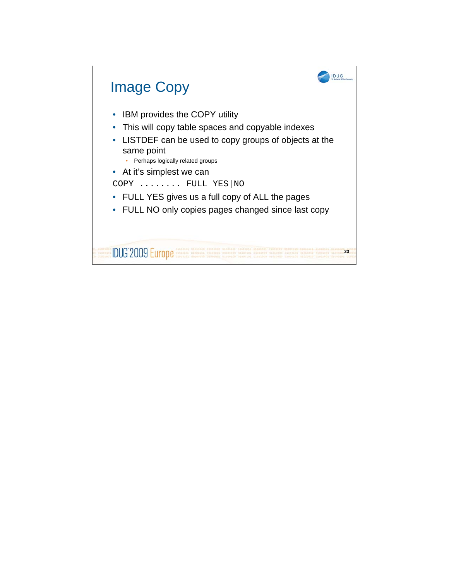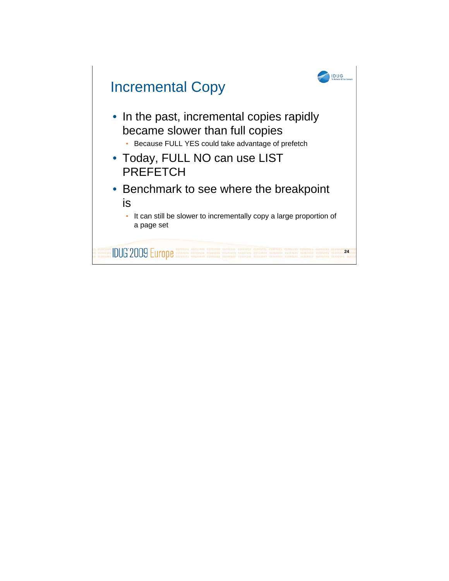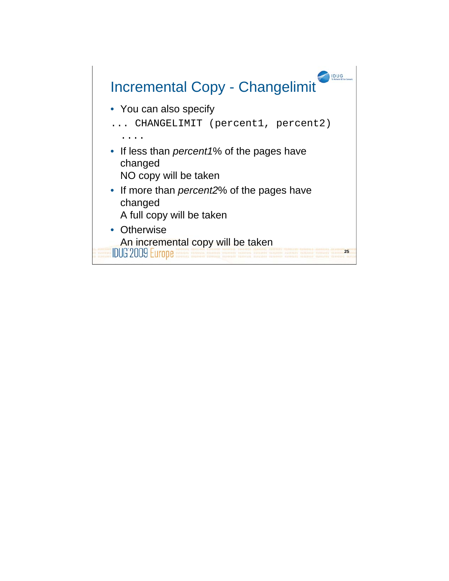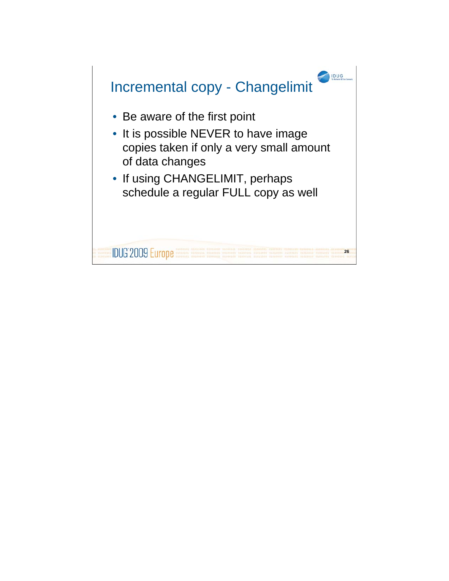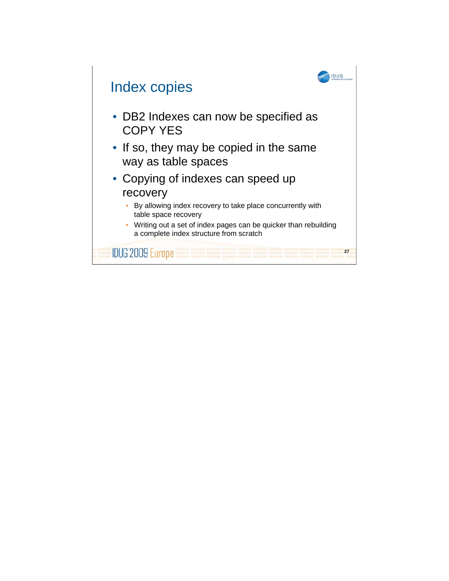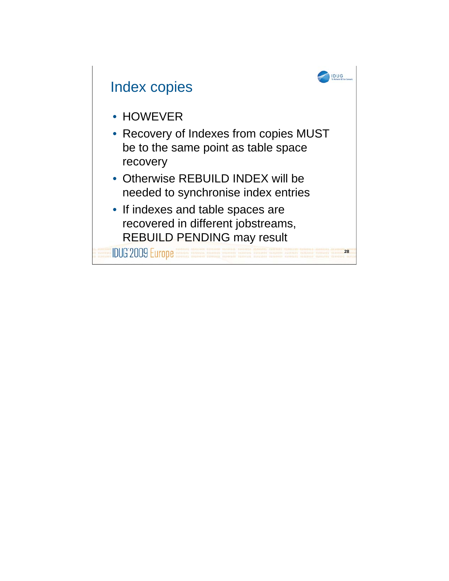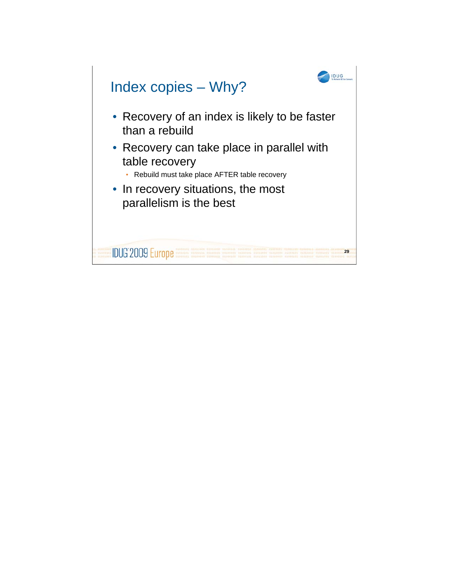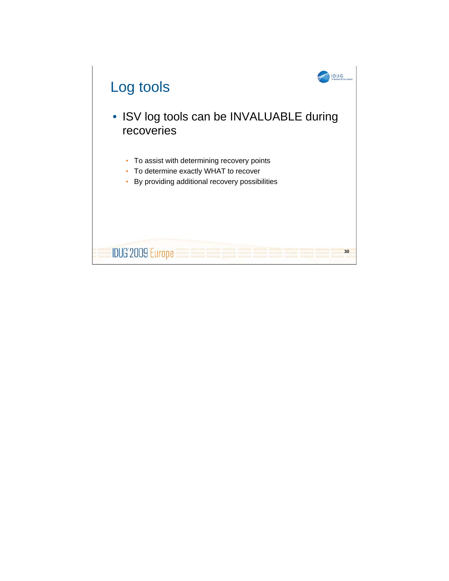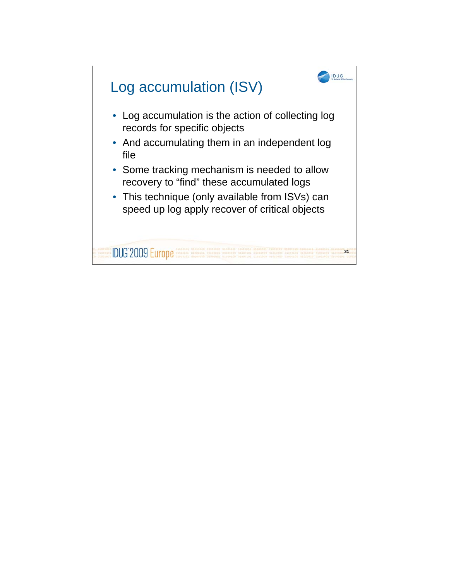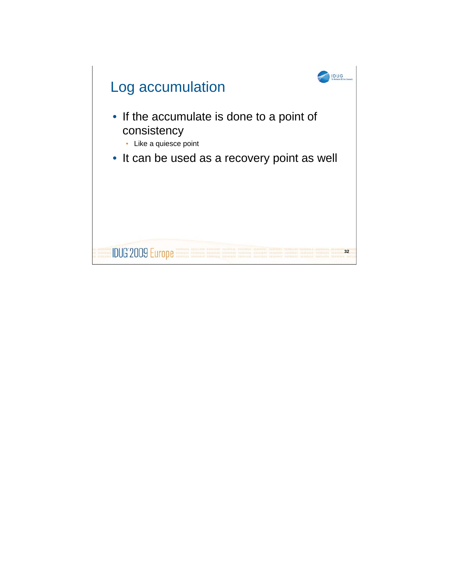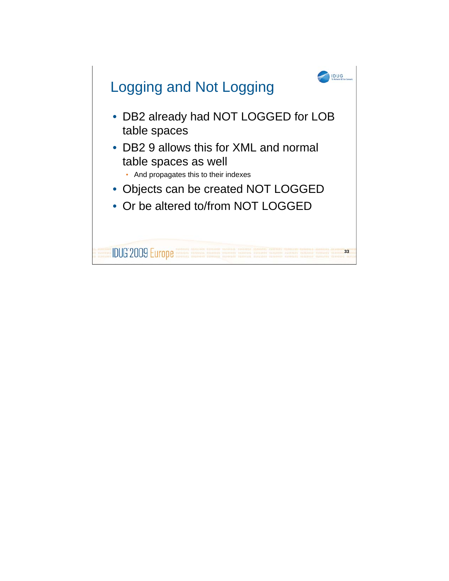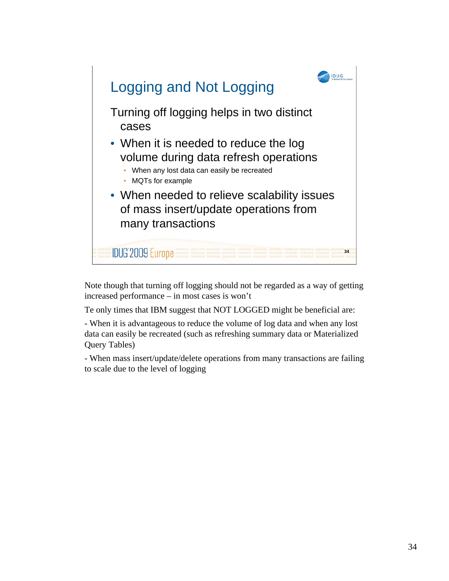

Note though that turning off logging should not be regarded as a way of getting increased performance – in most cases is won't

Te only times that IBM suggest that NOT LOGGED might be beneficial are:

- When it is advantageous to reduce the volume of log data and when any lost data can easily be recreated (such as refreshing summary data or Materialized Query Tables)

- When mass insert/update/delete operations from many transactions are failing to scale due to the level of logging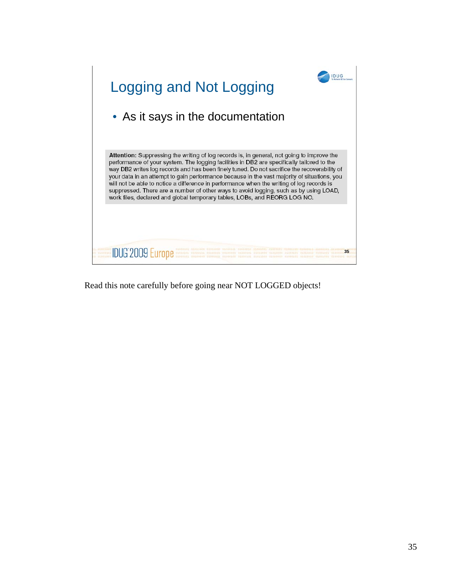

Read this note carefully before going near NOT LOGGED objects!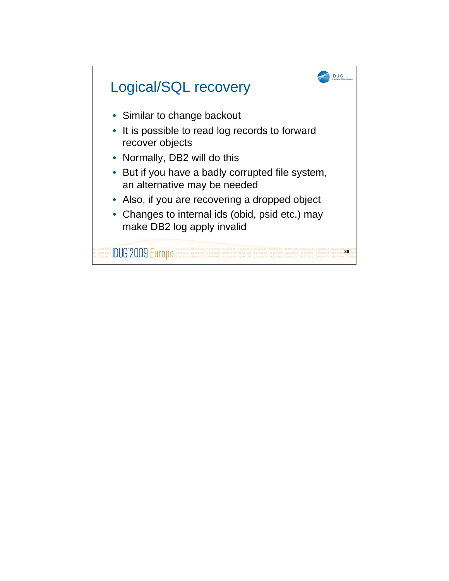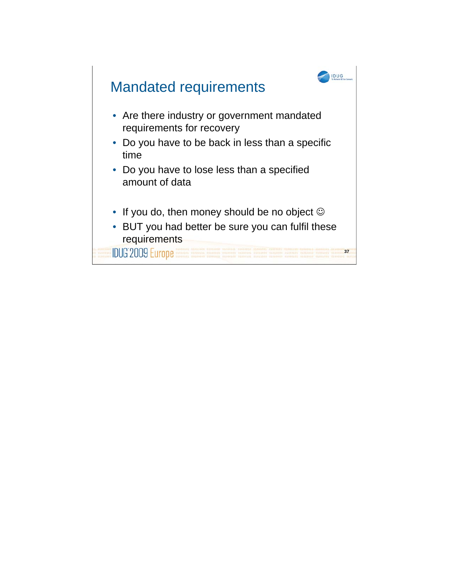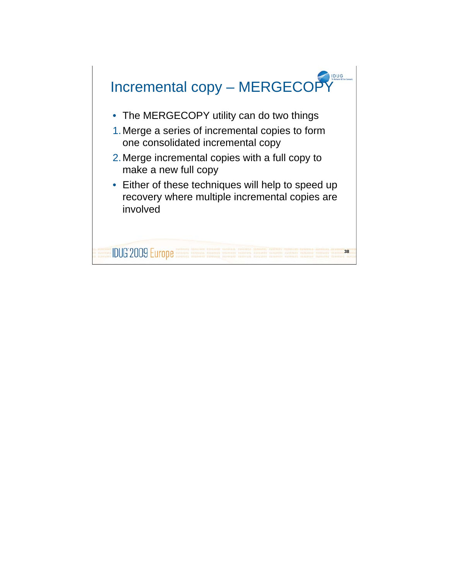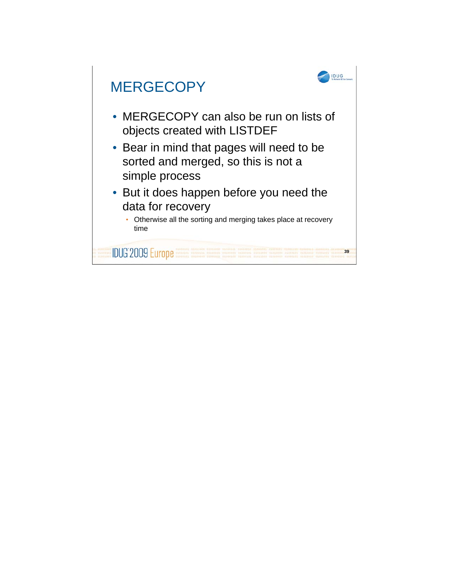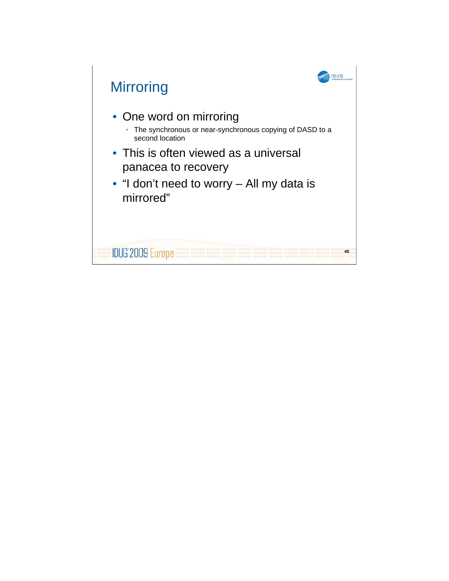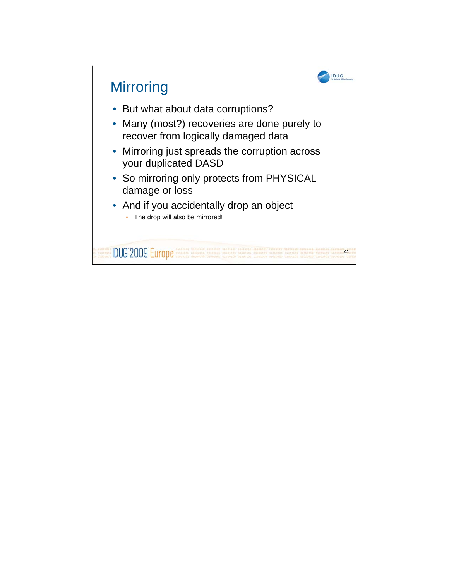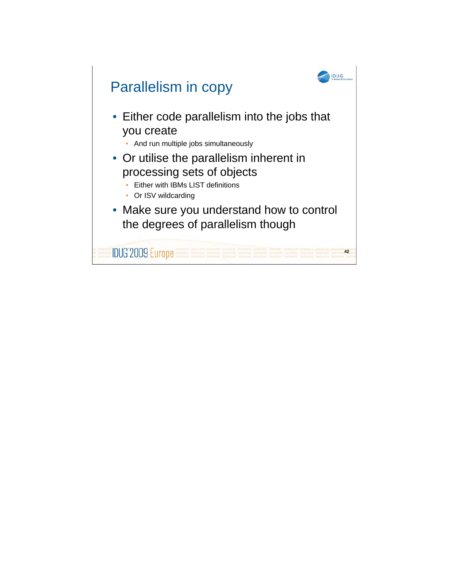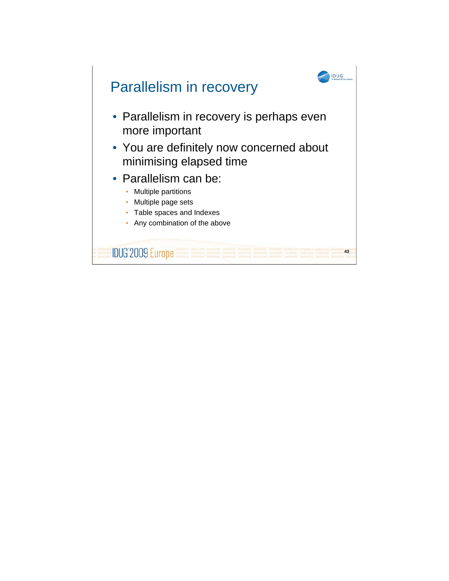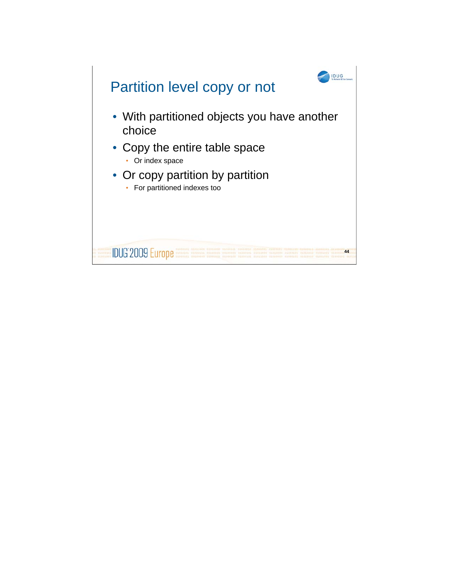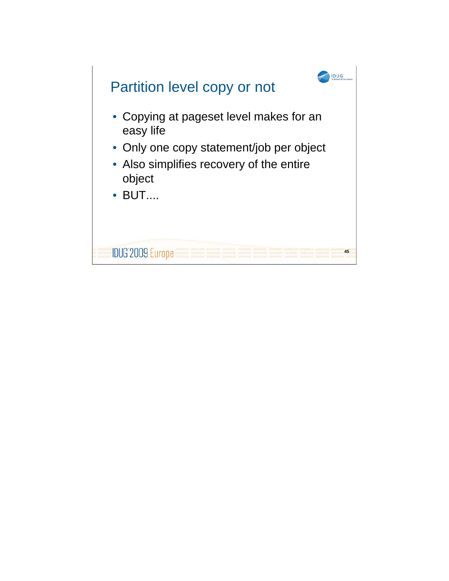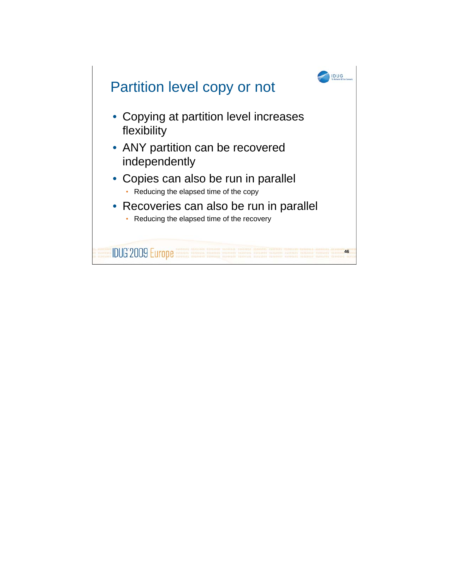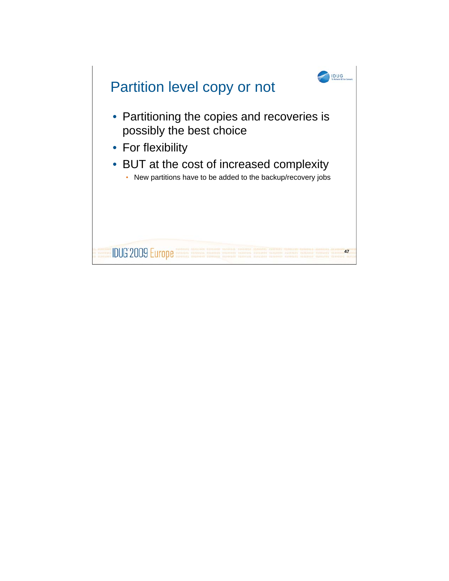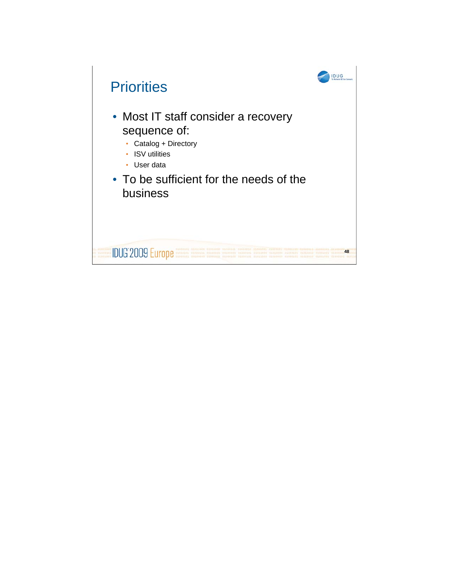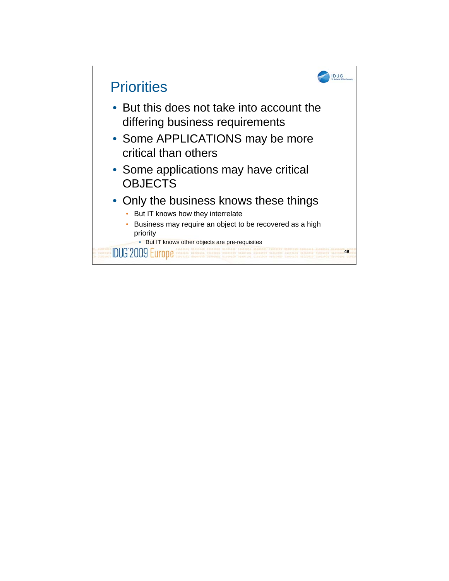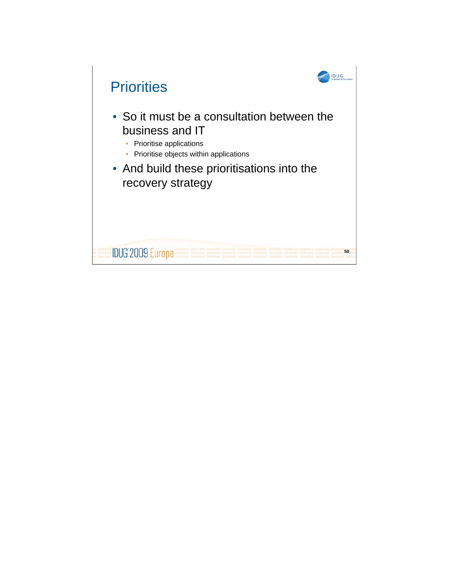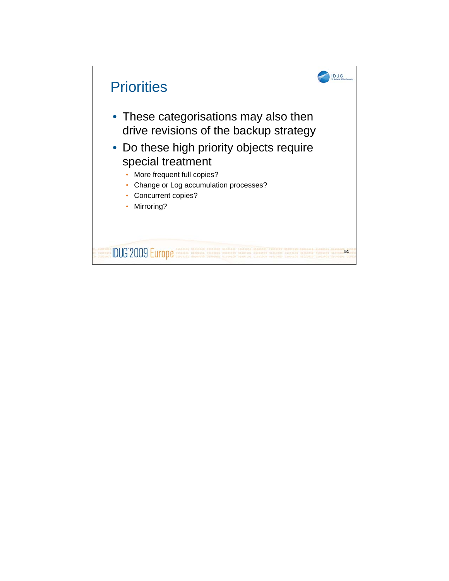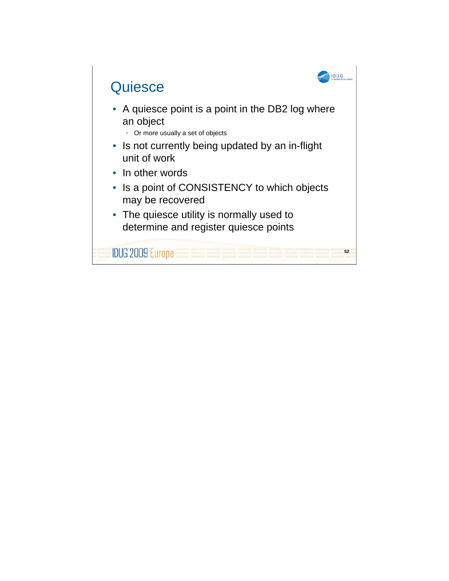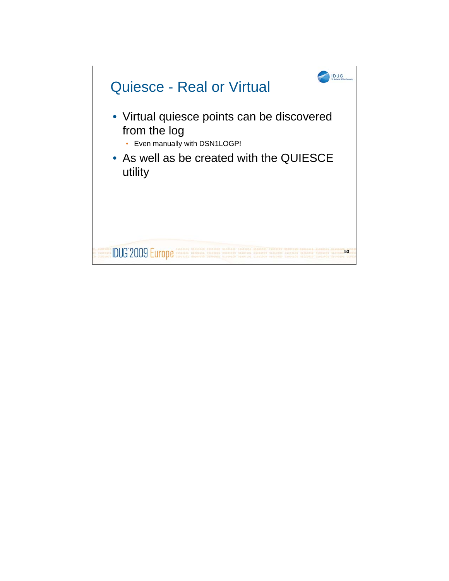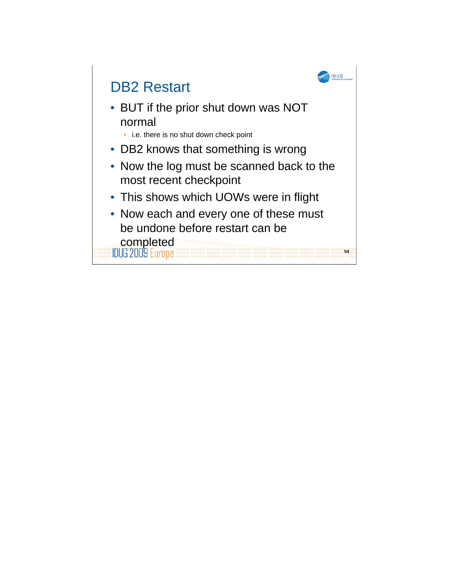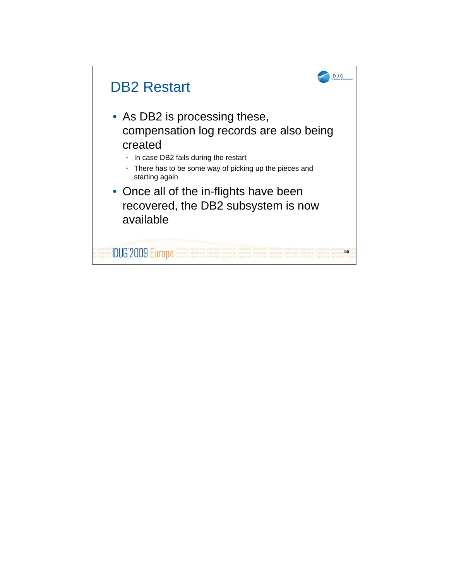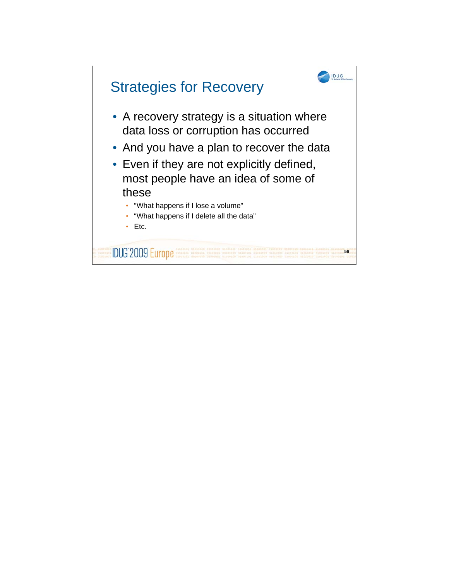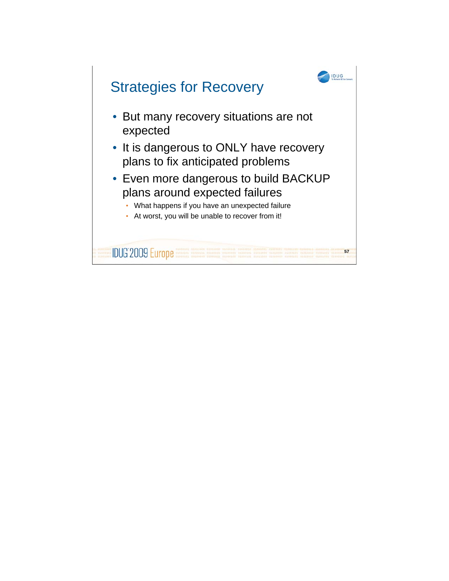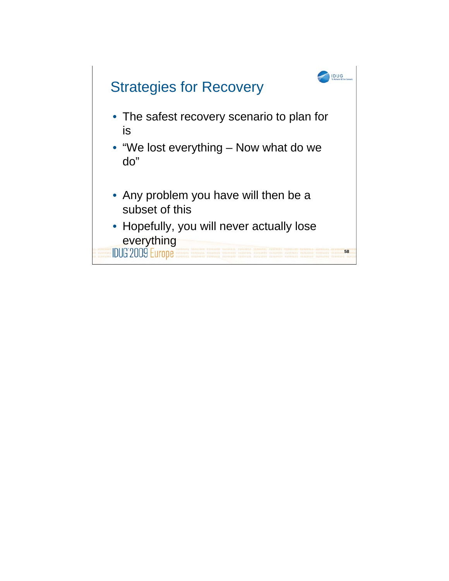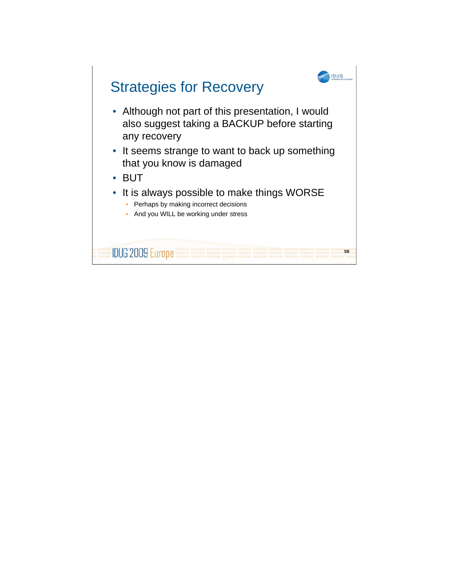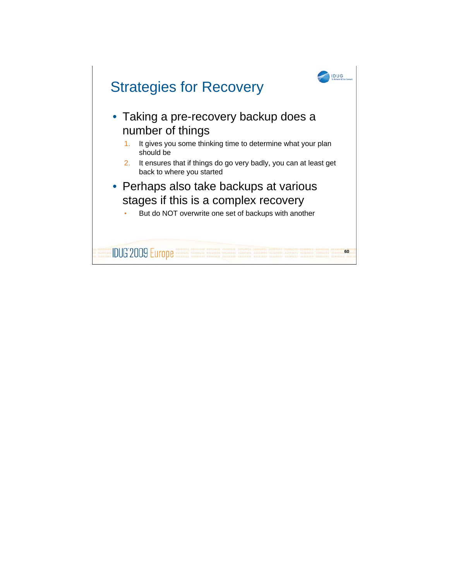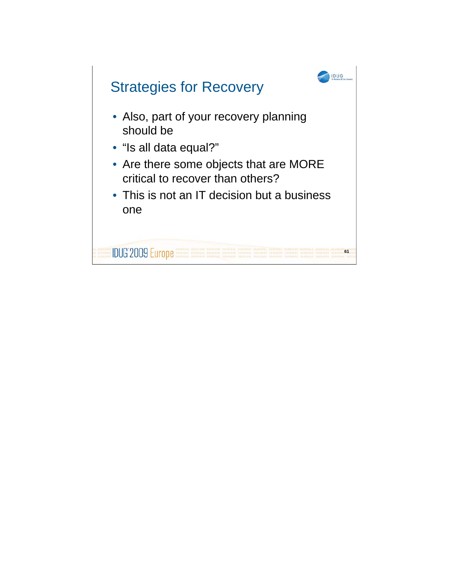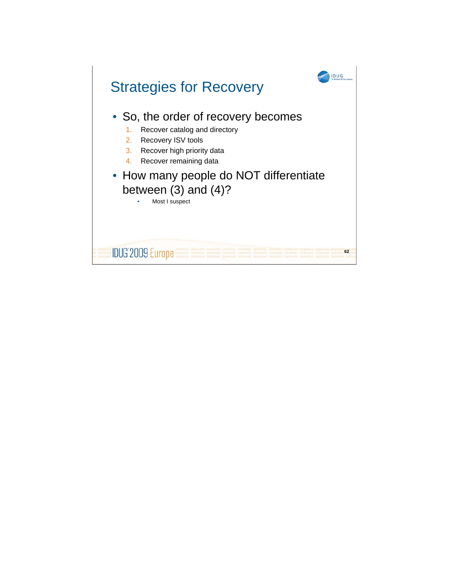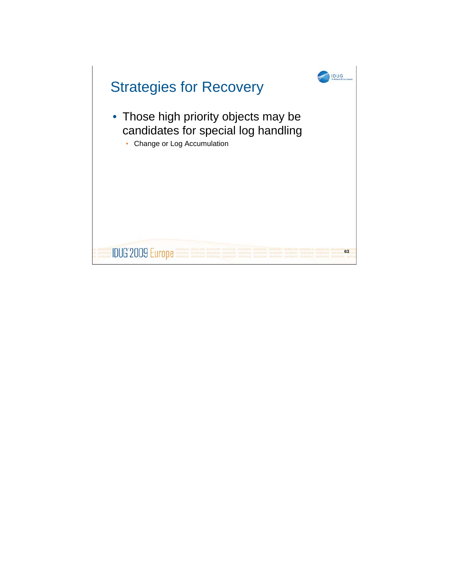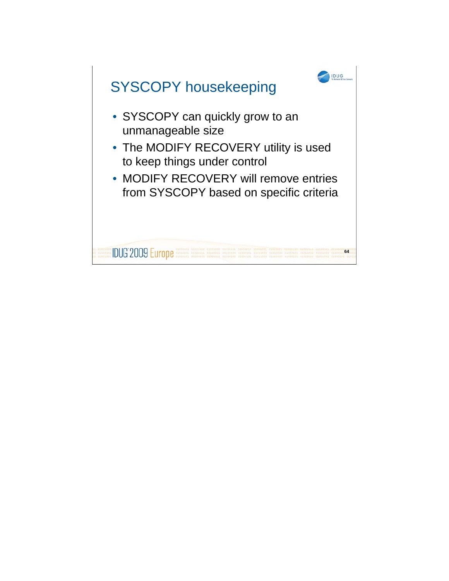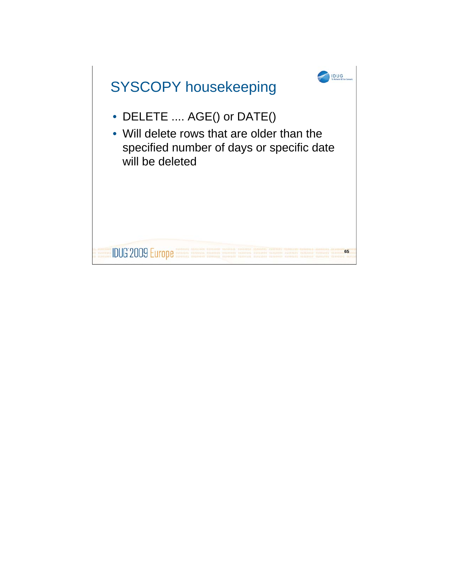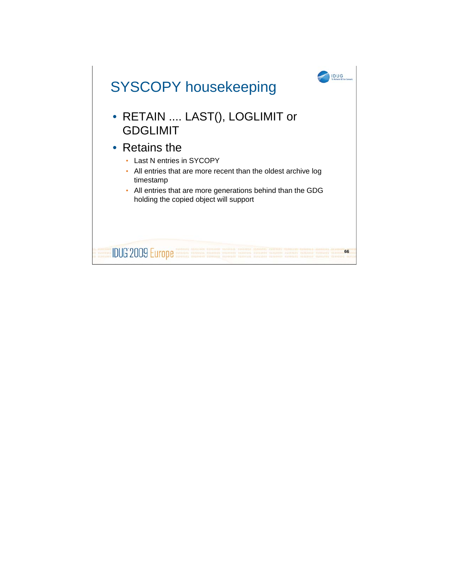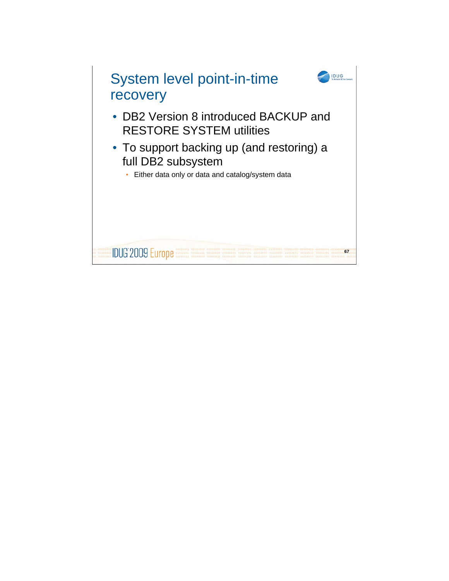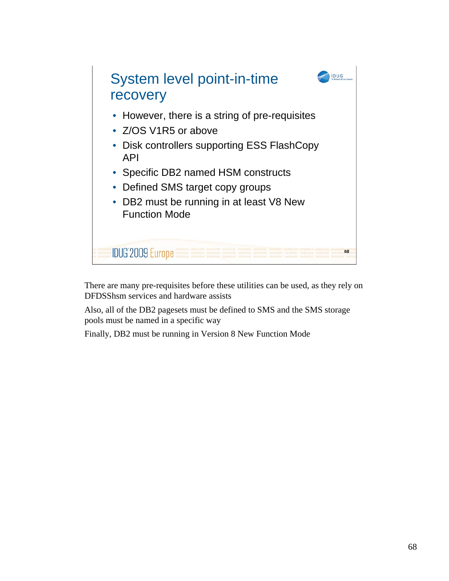

There are many pre-requisites before these utilities can be used, as they rely on DFDSShsm services and hardware assists

Also, all of the DB2 pagesets must be defined to SMS and the SMS storage pools must be named in a specific way

Finally, DB2 must be running in Version 8 New Function Mode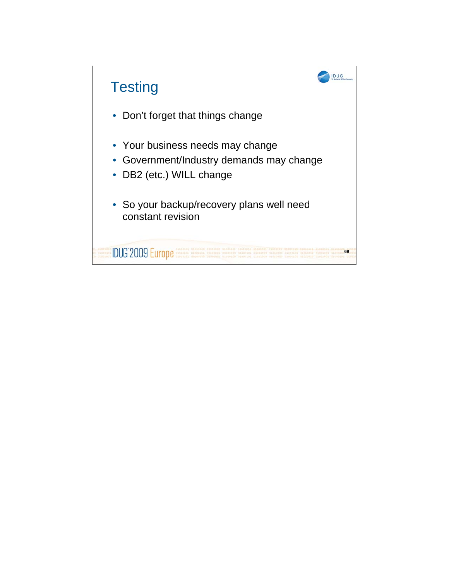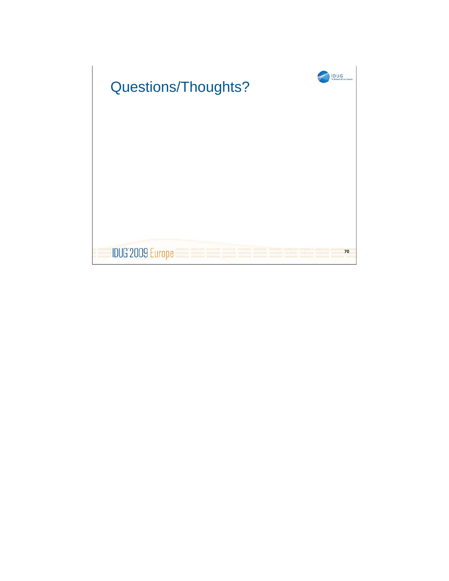